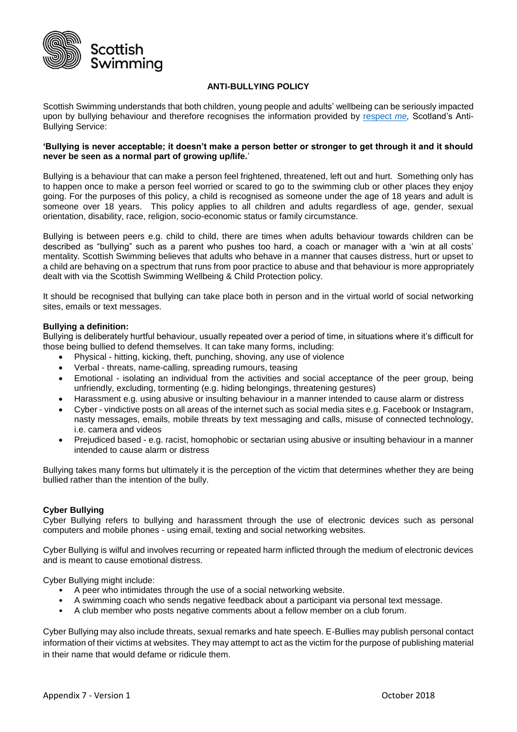

# **ANTI-BULLYING POLICY**

Scottish Swimming understands that both children, young people and adults' wellbeing can be seriously impacted upon by bullying behaviour and therefore recognises the information provided by [respect](http://respectme.org.uk/) *me,* Scotland's Anti-Bullying Service:

#### **'Bullying is never acceptable; it doesn't make a person better or stronger to get through it and it should never be seen as a normal part of growing up/life.**'

Bullying is a behaviour that can make a person feel frightened, threatened, left out and hurt. Something only has to happen once to make a person feel worried or scared to go to the swimming club or other places they enjoy going. For the purposes of this policy, a child is recognised as someone under the age of 18 years and adult is someone over 18 years. This policy applies to all children and adults regardless of age, gender, sexual orientation, disability, race, religion, socio-economic status or family circumstance.

Bullying is between peers e.g. child to child, there are times when adults behaviour towards children can be described as "bullying" such as a parent who pushes too hard, a coach or manager with a 'win at all costs' mentality. Scottish Swimming believes that adults who behave in a manner that causes distress, hurt or upset to a child are behaving on a spectrum that runs from poor practice to abuse and that behaviour is more appropriately dealt with via the Scottish Swimming Wellbeing & Child Protection policy.

It should be recognised that bullying can take place both in person and in the virtual world of social networking sites, emails or text messages.

#### **Bullying a definition:**

Bullying is deliberately hurtful behaviour, usually repeated over a period of time, in situations where it's difficult for those being bullied to defend themselves. It can take many forms, including:

- Physical hitting, kicking, theft, punching, shoving, any use of violence
- Verbal threats, name-calling, spreading rumours, teasing
- Emotional isolating an individual from the activities and social acceptance of the peer group, being unfriendly, excluding, tormenting (e.g. hiding belongings, threatening gestures)
- Harassment e.g. using abusive or insulting behaviour in a manner intended to cause alarm or distress
- Cyber vindictive posts on all areas of the internet such as social media sites e.g. Facebook or Instagram, nasty messages, emails, mobile threats by text messaging and calls, misuse of connected technology, i.e. camera and videos
- Prejudiced based e.g. racist, homophobic or sectarian using abusive or insulting behaviour in a manner intended to cause alarm or distress

Bullying takes many forms but ultimately it is the perception of the victim that determines whether they are being bullied rather than the intention of the bully.

#### **Cyber Bullying**

Cyber Bullying refers to bullying and harassment through the use of electronic devices such as personal computers and mobile phones - using email, texting and social networking websites.

Cyber Bullying is wilful and involves recurring or repeated harm inflicted through the medium of electronic devices and is meant to cause emotional distress.

Cyber Bullying might include:

- A peer who intimidates through the use of a social networking website.
- A swimming coach who sends negative feedback about a participant via personal text message.
- A club member who posts negative comments about a fellow member on a club forum.

Cyber Bullying may also include threats, sexual remarks and hate speech. E-Bullies may publish personal contact information of their victims at websites. They may attempt to act as the victim for the purpose of publishing material in their name that would defame or ridicule them.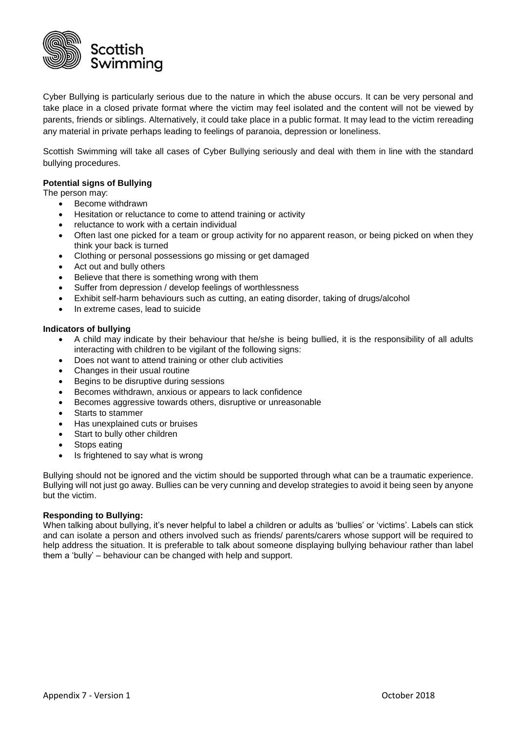

Cyber Bullying is particularly serious due to the nature in which the abuse occurs. It can be very personal and take place in a closed private format where the victim may feel isolated and the content will not be viewed by parents, friends or siblings. Alternatively, it could take place in a public format. It may lead to the victim rereading any material in private perhaps leading to feelings of paranoia, depression or loneliness.

Scottish Swimming will take all cases of Cyber Bullying seriously and deal with them in line with the standard bullying procedures.

## **Potential signs of Bullying**

The person may:

- Become withdrawn
- Hesitation or reluctance to come to attend training or activity
- reluctance to work with a certain individual
- Often last one picked for a team or group activity for no apparent reason, or being picked on when they think your back is turned
- Clothing or personal possessions go missing or get damaged
- Act out and bully others
- Believe that there is something wrong with them
- Suffer from depression / develop feelings of worthlessness
- Exhibit self-harm behaviours such as cutting, an eating disorder, taking of drugs/alcohol
- In extreme cases, lead to suicide

#### **Indicators of bullying**

- A child may indicate by their behaviour that he/she is being bullied, it is the responsibility of all adults interacting with children to be vigilant of the following signs:
- Does not want to attend training or other club activities
- Changes in their usual routine
- Begins to be disruptive during sessions
- Becomes withdrawn, anxious or appears to lack confidence
- Becomes aggressive towards others, disruptive or unreasonable
- Starts to stammer
- Has unexplained cuts or bruises
- Start to bully other children
- Stops eating
- Is frightened to say what is wrong

Bullying should not be ignored and the victim should be supported through what can be a traumatic experience. Bullying will not just go away. Bullies can be very cunning and develop strategies to avoid it being seen by anyone but the victim.

#### **Responding to Bullying:**

When talking about bullying, it's never helpful to label a children or adults as 'bullies' or 'victims'. Labels can stick and can isolate a person and others involved such as friends/ parents/carers whose support will be required to help address the situation. It is preferable to talk about someone displaying bullying behaviour rather than label them a 'bully' – behaviour can be changed with help and support.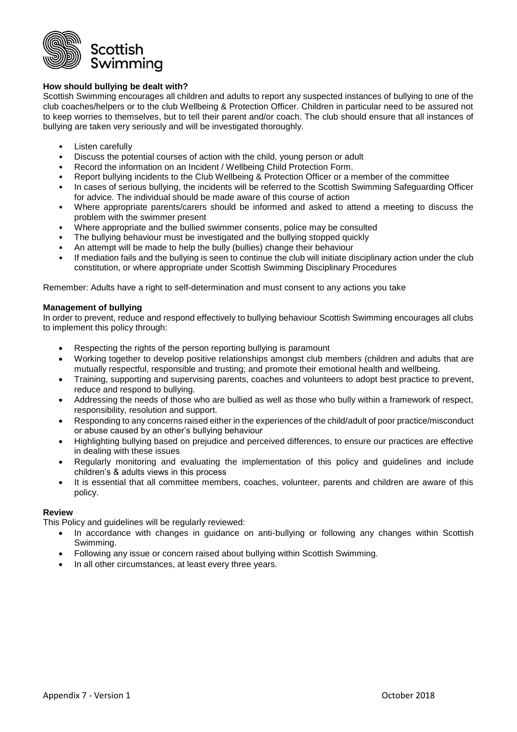

# **How should bullying be dealt with?**

Scottish Swimming encourages all children and adults to report any suspected instances of bullying to one of the club coaches/helpers or to the club Wellbeing & Protection Officer. Children in particular need to be assured not to keep worries to themselves, but to tell their parent and/or coach. The club should ensure that all instances of bullying are taken very seriously and will be investigated thoroughly.

- Listen carefully
- Discuss the potential courses of action with the child, young person or adult
- Record the information on an Incident / Wellbeing Child Protection Form.
- Report bullying incidents to the Club Wellbeing & Protection Officer or a member of the committee
- In cases of serious bullying, the incidents will be referred to the Scottish Swimming Safeguarding Officer for advice. The individual should be made aware of this course of action
- Where appropriate parents/carers should be informed and asked to attend a meeting to discuss the problem with the swimmer present
- Where appropriate and the bullied swimmer consents, police may be consulted
- The bullying behaviour must be investigated and the bullying stopped quickly
- An attempt will be made to help the bully (bullies) change their behaviour
- If mediation fails and the bullying is seen to continue the club will initiate disciplinary action under the club constitution, or where appropriate under Scottish Swimming Disciplinary Procedures

Remember: Adults have a right to self-determination and must consent to any actions you take

### **Management of bullying**

In order to prevent, reduce and respond effectively to bullying behaviour Scottish Swimming encourages all clubs to implement this policy through:

- Respecting the rights of the person reporting bullying is paramount
- Working together to develop positive relationships amongst club members (children and adults that are mutually respectful, responsible and trusting; and promote their emotional health and wellbeing.
- Training, supporting and supervising parents, coaches and volunteers to adopt best practice to prevent, reduce and respond to bullying.
- Addressing the needs of those who are bullied as well as those who bully within a framework of respect, responsibility, resolution and support.
- Responding to any concerns raised either in the experiences of the child/adult of poor practice/misconduct or abuse caused by an other's bullying behaviour
- Highlighting bullying based on prejudice and perceived differences, to ensure our practices are effective in dealing with these issues
- Regularly monitoring and evaluating the implementation of this policy and guidelines and include children's & adults views in this process
- It is essential that all committee members, coaches, volunteer, parents and children are aware of this policy.

#### **Review**

This Policy and guidelines will be regularly reviewed:

- In accordance with changes in guidance on anti-bullying or following any changes within Scottish Swimming.
- Following any issue or concern raised about bullying within Scottish Swimming.
- In all other circumstances, at least every three years.